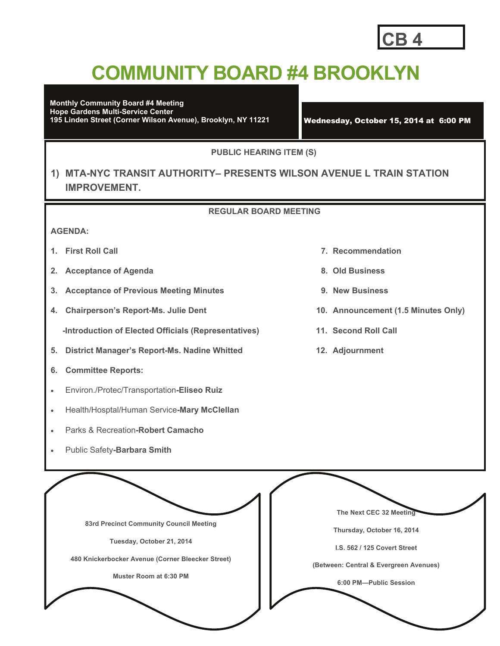### **CB 4**

## **COMMUNITY BOARD #4 BROOKLYN**

**Monthly Community Board #4 Meeting Hope Gardens Multi-Service Center 195 Linden Street (Corner Wilson Avenue), Brooklyn, NY 11221** Wednesday, October 15, 2014 at 6:00 PM

**PUBLIC HEARING ITEM (S)** 

#### **1) MTA-NYC TRANSIT AUTHORITY– PRESENTS WILSON AVENUE L TRAIN STATION IMPROVEMENT.**

#### **REGULAR BOARD MEETING**

#### **AGENDA:**

- 
- **2. Acceptance of Agenda 8. Old Business**
- **3. Acceptance of Previous Meeting Minutes 9. New Business**
- **4. Chairperson's Report-Ms. Julie Dent 10. Announcement (1.5 Minutes Only)**

 **-Introduction of Elected Officials (Representatives) 11. Second Roll Call** 

- **5. District Manager's Report-Ms. Nadine Whitted 12. Adjournment**
- **6. Committee Reports:**
- Environ./Protec/Transportation**-Eliseo Ruiz**
- Health/Hosptal/Human Service**-Mary McClellan**
- Parks & Recreation**-Robert Camacho**
- Public Safety**-Barbara Smith**
- **1. First Roll Call 7. Recommendation** 
	-
	-
	-
	-
	-

**83rd Precinct Community Council Meeting Tuesday, October 21, 2014 480 Knickerbocker Avenue (Corner Bleecker Street) Muster Room at 6:30 PM The Next CEC 32 Meeting Thursday, October 16, 2014 I.S. 562 / 125 Covert Street (Between: Central & Evergreen Avenues) 6:00 PM—Public Session**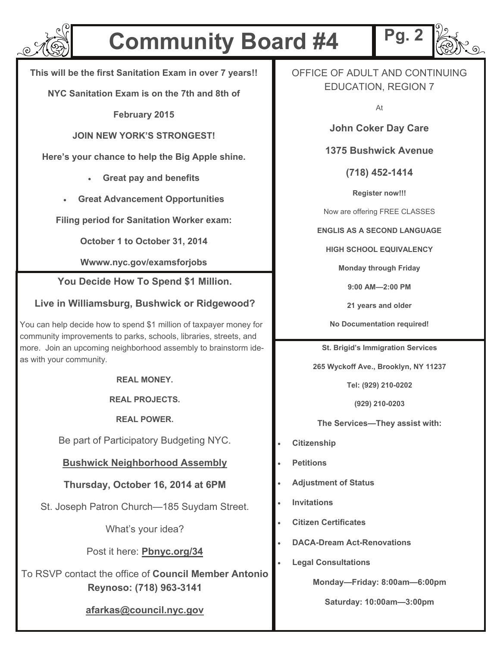

## **Community Board #4**

**This will be the first Sanitation Exam in over 7 years!!** 

**NYC Sanitation Exam is on the 7th and 8th of** 

**February 2015** 

**JOIN NEW YORK'S STRONGEST!** 

**Here's your chance to help the Big Apple shine.** 

- **Great pay and benefits**
- **Great Advancement Opportunities**

**Filing period for Sanitation Worker exam:** 

**October 1 to October 31, 2014** 

**Wwww.nyc.gov/examsforjobs** 

**You Decide How To Spend \$1 Million.** 

#### **Live in Williamsburg, Bushwick or Ridgewood?**

You can help decide how to spend \$1 million of taxpayer money for community improvements to parks, schools, libraries, streets, and more. Join an upcoming neighborhood assembly to brainstorm ideas with your community.

**REAL MONEY.** 

**REAL PROJECTS.** 

**REAL POWER.** 

Be part of Participatory Budgeting NYC.

#### **Bushwick Neighborhood Assembly**

#### **Thursday, October 16, 2014 at 6PM**

St. Joseph Patron Church—185 Suydam Street.

What's your idea?

Post it here: **Pbnyc.org/34** 

To RSVP contact the office of **Council Member Antonio Reynoso: (718) 963-3141** 

#### **afarkas@council.nyc.gov**

OFFICE OF ADULT AND CONTINUING EDUCATION, REGION 7

**Pg. 2** 

At

**John Coker Day Care** 

**1375 Bushwick Avenue** 

**(718) 452-1414** 

**Register now!!!** 

Now are offering FREE CLASSES

**ENGLIS AS A SECOND LANGUAGE** 

**HIGH SCHOOL EQUIVALENCY** 

**Monday through Friday** 

**9:00 AM—2:00 PM** 

**21 years and older** 

**No Documentation required!** 

**St. Brigid's Immigration Services** 

**265 Wyckoff Ave., Brooklyn, NY 11237** 

**Tel: (929) 210-0202** 

**(929) 210-0203** 

**The Services—They assist with:** 

- **Citizenship**
- **Petitions**
- **Adjustment of Status**
- **Invitations**
- **Citizen Certificates**
- **DACA-Dream Act-Renovations**
- **Legal Consultations**

**Monday—Friday: 8:00am—6:00pm** 

**Saturday: 10:00am—3:00pm**